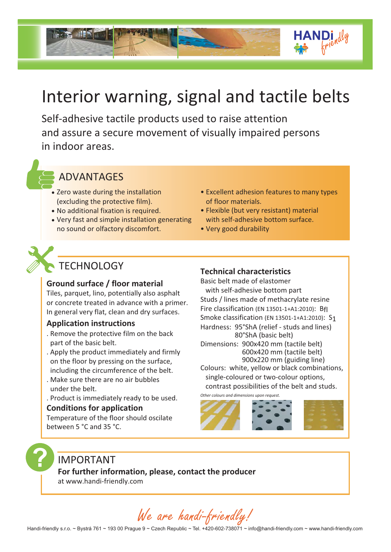

# Interior warning, signal and tactile belts

Self-adhesive tactile products used to raise attention and assure a secure movement of visually impaired persons in indoor areas.

# ADVANTAGES

- Zero waste during the installation (excluding the protective film).
- No additional fixation is required.
- Very fast and simple installation generating no sound or olfactory discomfort.
- Excellent adhesion features to many types of floor materials.
- Flexible (but very resistant) material with self-adhesive bottom surface.
- Very good durability

# **TECHNOLOGY**

# **Ground surface / floor material**

Tiles, parquet, lino, potentially also asphalt or concrete treated in advance with a primer. In general very flat, clean and dry surfaces.

# **Application instructions**

- . Remove the protective film on the back part of the basic belt.
- . Apply the product immediately and firmly on the floor by pressing on the surface, including the circumference of the belt.
- . Make sure there are no air bubbles under the belt.
- . Product is immediately ready to be used.

# **Conditions for application**

Temperature of the floor should oscilate between 5 °C and 35 °C.

# **Technical characteristics**

Basic belt made of elastomer with self-adhesive bottom part Studs / lines made of methacrylate resine Fire classification (EN 13501-1+A1:2010): Bfl Smoke classification (EN 13501-1+A1:2010): S1 Dimensions: 900x420 mm (tactile belt) 600x420 mm (tactile belt) Colours: white, yellow or black combinations, single-coloured or two-colour options, Hardness: 95°ShA (relief - studs and lines) 80°ShA (basic belt) 900x220 mm (guiding line)

contrast possibilities of the belt and studs.

*Other colours and dimensions upon request.*



# IMPORTANT

**For further information, please, contact the producer**

at www.handi-friendly.com

We are handi-friendly!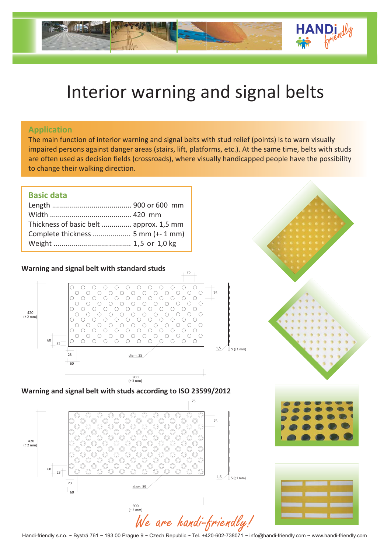

# Interior warning and signal belts

#### **Application**

The main function of interior warning and signal belts with stud relief (points) is to warn visually impaired persons against danger areas (stairs, lift, platforms, etc.). At the same time, belts with studs are often used as decision fields (crossroads), where visually handicapped people have the possibility to change their walking direction.

### **Basic data**

| Thickness of basic belt  approx. 1,5 mm |  |
|-----------------------------------------|--|
|                                         |  |
|                                         |  |
|                                         |  |



**Warning and signal belt with studs according to ISO 23599/2012**







Handi-friendly s.r.o. ~ Bystrá 761 ~ 193 00 Prague 9 ~ Czech Republic ~ Tel. +420-602-738071 ~ info@handi-friendly.com ~ www.handi-friendly.com